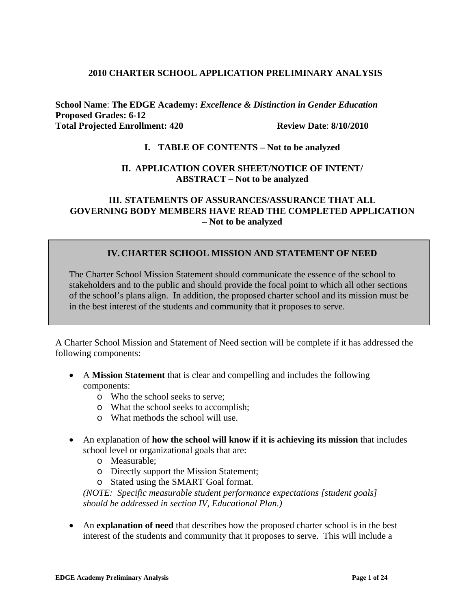#### **2010 CHARTER SCHOOL APPLICATION PRELIMINARY ANALYSIS**

**School Name**: **The EDGE Academy:** *Excellence & Distinction in Gender Education* **Proposed Grades: 6-12 Total Projected Enrollment: 420 Review Date**: **8/10/2010**

# **I. TABLE OF CONTENTS – Not to be analyzed**

#### **II. APPLICATION COVER SHEET/NOTICE OF INTENT/ ABSTRACT – Not to be analyzed**

#### **III. STATEMENTS OF ASSURANCES/ASSURANCE THAT ALL GOVERNING BODY MEMBERS HAVE READ THE COMPLETED APPLICATION – Not to be analyzed**

## **IV.CHARTER SCHOOL MISSION AND STATEMENT OF NEED**

The Charter School Mission Statement should communicate the essence of the school to stakeholders and to the public and should provide the focal point to which all other sections of the school's plans align. In addition, the proposed charter school and its mission must be in the best interest of the students and community that it proposes to serve.

A Charter School Mission and Statement of Need section will be complete if it has addressed the following components:

- A **Mission Statement** that is clear and compelling and includes the following components:
	- o Who the school seeks to serve;
	- o What the school seeks to accomplish;
	- o What methods the school will use.
- An explanation of **how the school will know if it is achieving its mission** that includes school level or organizational goals that are:
	- o Measurable;
	- o Directly support the Mission Statement;
	- o Stated using the SMART Goal format.

*(NOTE: Specific measurable student performance expectations [student goals] should be addressed in section IV, Educational Plan.)*

• An **explanation of need** that describes how the proposed charter school is in the best interest of the students and community that it proposes to serve. This will include a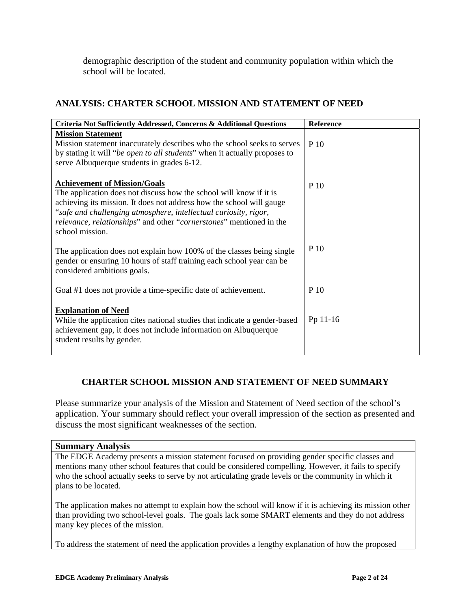demographic description of the student and community population within which the school will be located.

# **ANALYSIS: CHARTER SCHOOL MISSION AND STATEMENT OF NEED**

| Criteria Not Sufficiently Addressed, Concerns & Additional Questions                                                                                                                                                                                                                                                                            | <b>Reference</b> |
|-------------------------------------------------------------------------------------------------------------------------------------------------------------------------------------------------------------------------------------------------------------------------------------------------------------------------------------------------|------------------|
| <b>Mission Statement</b><br>Mission statement inaccurately describes who the school seeks to serves<br>by stating it will "be open to all students" when it actually proposes to<br>serve Albuquerque students in grades 6-12.                                                                                                                  | P 10             |
| <b>Achievement of Mission/Goals</b><br>The application does not discuss how the school will know if it is<br>achieving its mission. It does not address how the school will gauge<br>"safe and challenging atmosphere, intellectual curiosity, rigor,<br>relevance, relationships" and other "cornerstones" mentioned in the<br>school mission. | P 10             |
| The application does not explain how 100% of the classes being single<br>gender or ensuring 10 hours of staff training each school year can be<br>considered ambitious goals.                                                                                                                                                                   | P 10             |
| Goal #1 does not provide a time-specific date of achievement.                                                                                                                                                                                                                                                                                   | P 10             |
| <b>Explanation of Need</b><br>While the application cites national studies that indicate a gender-based<br>achievement gap, it does not include information on Albuquerque<br>student results by gender.                                                                                                                                        | Pp 11-16         |

## **CHARTER SCHOOL MISSION AND STATEMENT OF NEED SUMMARY**

Please summarize your analysis of the Mission and Statement of Need section of the school's application. Your summary should reflect your overall impression of the section as presented and discuss the most significant weaknesses of the section.

#### **Summary Analysis**

The EDGE Academy presents a mission statement focused on providing gender specific classes and mentions many other school features that could be considered compelling. However, it fails to specify who the school actually seeks to serve by not articulating grade levels or the community in which it plans to be located.

The application makes no attempt to explain how the school will know if it is achieving its mission other than providing two school-level goals. The goals lack some SMART elements and they do not address many key pieces of the mission.

To address the statement of need the application provides a lengthy explanation of how the proposed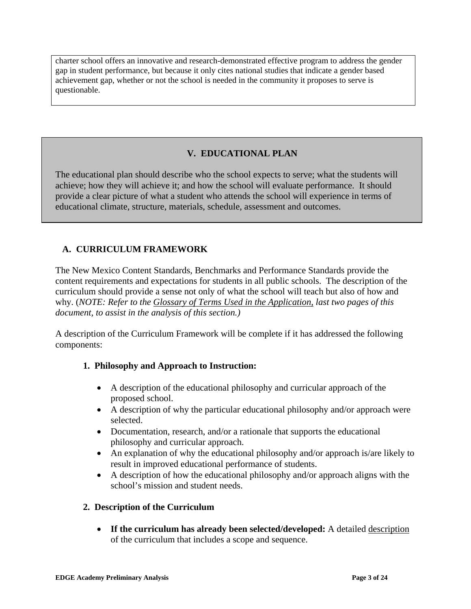charter school offers an innovative and research-demonstrated effective program to address the gender gap in student performance, but because it only cites national studies that indicate a gender based achievement gap, whether or not the school is needed in the community it proposes to serve is questionable.

# **V. EDUCATIONAL PLAN**

The educational plan should describe who the school expects to serve; what the students will achieve; how they will achieve it; and how the school will evaluate performance. It should provide a clear picture of what a student who attends the school will experience in terms of educational climate, structure, materials, schedule, assessment and outcomes.

# **A. CURRICULUM FRAMEWORK**

The New Mexico Content Standards, Benchmarks and Performance Standards provide the content requirements and expectations for students in all public schools. The description of the curriculum should provide a sense not only of what the school will teach but also of how and why. (*NOTE: Refer to the Glossary of Terms Used in the Application, last two pages of this document, to assist in the analysis of this section.)*

A description of the Curriculum Framework will be complete if it has addressed the following components:

## **1. Philosophy and Approach to Instruction:**

- A description of the educational philosophy and curricular approach of the proposed school.
- A description of why the particular educational philosophy and/or approach were selected.
- Documentation, research, and/or a rationale that supports the educational philosophy and curricular approach.
- An explanation of why the educational philosophy and/or approach is/are likely to result in improved educational performance of students.
- A description of how the educational philosophy and/or approach aligns with the school's mission and student needs.

#### **2. Description of the Curriculum**

• **If the curriculum has already been selected/developed:** A detailed description of the curriculum that includes a scope and sequence.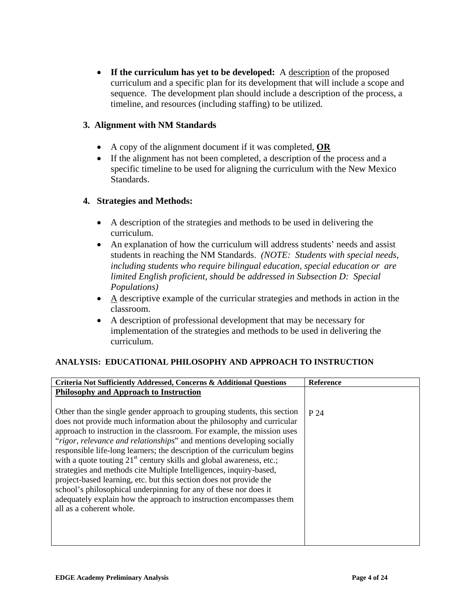• **If the curriculum has yet to be developed:** A description of the proposed curriculum and a specific plan for its development that will include a scope and sequence. The development plan should include a description of the process, a timeline, and resources (including staffing) to be utilized.

## **3. Alignment with NM Standards**

- A copy of the alignment document if it was completed, **OR**
- If the alignment has not been completed, a description of the process and a specific timeline to be used for aligning the curriculum with the New Mexico Standards.

## **4. Strategies and Methods:**

- A description of the strategies and methods to be used in delivering the curriculum.
- An explanation of how the curriculum will address students' needs and assist students in reaching the NM Standards. *(NOTE: Students with special needs, including students who require bilingual education, special education or are limited English proficient, should be addressed in Subsection D: Special Populations)*
- A descriptive example of the curricular strategies and methods in action in the classroom.
- A description of professional development that may be necessary for implementation of the strategies and methods to be used in delivering the curriculum.

## **ANALYSIS: EDUCATIONAL PHILOSOPHY AND APPROACH TO INSTRUCTION**

| Criteria Not Sufficiently Addressed, Concerns & Additional Questions             | <b>Reference</b> |
|----------------------------------------------------------------------------------|------------------|
| <b>Philosophy and Approach to Instruction</b>                                    |                  |
|                                                                                  |                  |
| Other than the single gender approach to grouping students, this section         | P 24             |
| does not provide much information about the philosophy and curricular            |                  |
| approach to instruction in the classroom. For example, the mission uses          |                  |
| "rigor, relevance and relationships" and mentions developing socially            |                  |
| responsible life-long learners; the description of the curriculum begins         |                  |
| with a quote touting 21 <sup>st</sup> century skills and global awareness, etc.; |                  |
| strategies and methods cite Multiple Intelligences, inquiry-based,               |                  |
| project-based learning, etc. but this section does not provide the               |                  |
| school's philosophical underpinning for any of these nor does it                 |                  |
| adequately explain how the approach to instruction encompasses them              |                  |
| all as a coherent whole.                                                         |                  |
|                                                                                  |                  |
|                                                                                  |                  |
|                                                                                  |                  |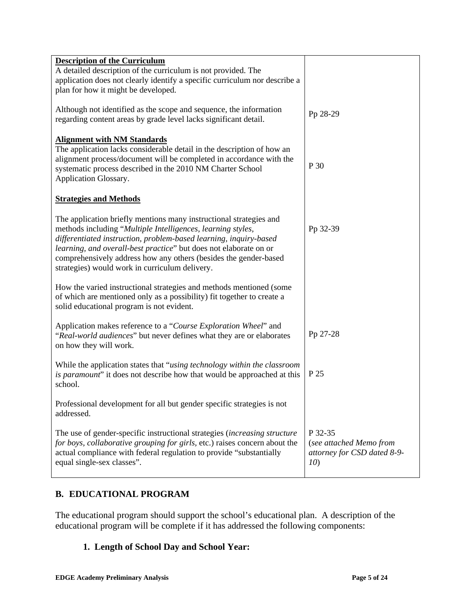| <b>Description of the Curriculum</b>                                                                                                                    |                                    |
|---------------------------------------------------------------------------------------------------------------------------------------------------------|------------------------------------|
| A detailed description of the curriculum is not provided. The                                                                                           |                                    |
| application does not clearly identify a specific curriculum nor describe a                                                                              |                                    |
| plan for how it might be developed.                                                                                                                     |                                    |
| Although not identified as the scope and sequence, the information<br>regarding content areas by grade level lacks significant detail.                  | Pp 28-29                           |
| <b>Alignment with NM Standards</b>                                                                                                                      |                                    |
| The application lacks considerable detail in the description of how an                                                                                  |                                    |
| alignment process/document will be completed in accordance with the                                                                                     |                                    |
| systematic process described in the 2010 NM Charter School                                                                                              | P 30                               |
| Application Glossary.                                                                                                                                   |                                    |
|                                                                                                                                                         |                                    |
| <b>Strategies and Methods</b>                                                                                                                           |                                    |
| The application briefly mentions many instructional strategies and                                                                                      |                                    |
| methods including "Multiple Intelligences, learning styles,                                                                                             | Pp 32-39                           |
| differentiated instruction, problem-based learning, inquiry-based                                                                                       |                                    |
| learning, and overall-best practice" but does not elaborate on or                                                                                       |                                    |
| comprehensively address how any others (besides the gender-based                                                                                        |                                    |
| strategies) would work in curriculum delivery.                                                                                                          |                                    |
| How the varied instructional strategies and methods mentioned (some                                                                                     |                                    |
| of which are mentioned only as a possibility) fit together to create a                                                                                  |                                    |
| solid educational program is not evident.                                                                                                               |                                    |
|                                                                                                                                                         |                                    |
| Application makes reference to a "Course Exploration Wheel" and                                                                                         |                                    |
| "Real-world audiences" but never defines what they are or elaborates                                                                                    | Pp 27-28                           |
| on how they will work.                                                                                                                                  |                                    |
| While the application states that "using technology within the classroom"                                                                               |                                    |
| is paramount" it does not describe how that would be approached at this                                                                                 | P 25                               |
| school.                                                                                                                                                 |                                    |
| Professional development for all but gender specific strategies is not                                                                                  |                                    |
| addressed.                                                                                                                                              |                                    |
|                                                                                                                                                         |                                    |
| The use of gender-specific instructional strategies (increasing structure<br>for boys, collaborative grouping for girls, etc.) raises concern about the | P 32-35<br>(see attached Memo from |
| actual compliance with federal regulation to provide "substantially                                                                                     | attorney for CSD dated 8-9-        |
| equal single-sex classes".                                                                                                                              | 10)                                |
|                                                                                                                                                         |                                    |

# **B. EDUCATIONAL PROGRAM**

The educational program should support the school's educational plan. A description of the educational program will be complete if it has addressed the following components:

# **1. Length of School Day and School Year:**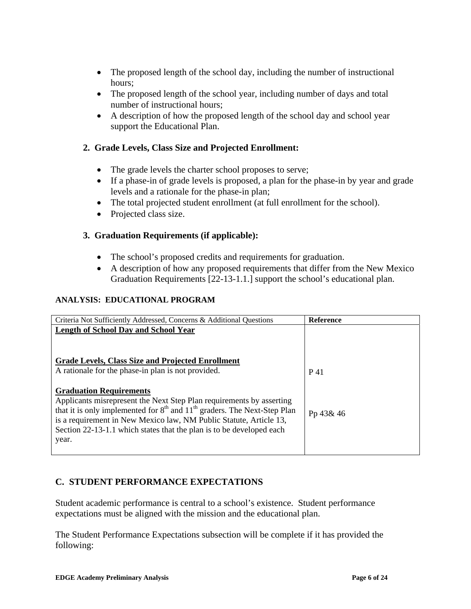- The proposed length of the school day, including the number of instructional hours;
- The proposed length of the school year, including number of days and total number of instructional hours;
- A description of how the proposed length of the school day and school year support the Educational Plan.

# **2. Grade Levels, Class Size and Projected Enrollment:**

- The grade levels the charter school proposes to serve;
- If a phase-in of grade levels is proposed, a plan for the phase-in by year and grade levels and a rationale for the phase-in plan;
- The total projected student enrollment (at full enrollment for the school).
- Projected class size.

# **3. Graduation Requirements (if applicable):**

- The school's proposed credits and requirements for graduation.
- A description of how any proposed requirements that differ from the New Mexico Graduation Requirements [22-13-1.1.] support the school's educational plan.

#### **ANALYSIS: EDUCATIONAL PROGRAM**

| Criteria Not Sufficiently Addressed, Concerns & Additional Questions         | <b>Reference</b> |
|------------------------------------------------------------------------------|------------------|
| <b>Length of School Day and School Year</b>                                  |                  |
|                                                                              |                  |
|                                                                              |                  |
| Grade Levels, Class Size and Projected Enrollment                            |                  |
| A rationale for the phase-in plan is not provided.                           | P 41             |
|                                                                              |                  |
| <b>Graduation Requirements</b>                                               |                  |
| Applicants misrepresent the Next Step Plan requirements by asserting         |                  |
| that it is only implemented for $8th$ and $11th$ graders. The Next-Step Plan | Pp 43& 46        |
| is a requirement in New Mexico law, NM Public Statute, Article 13,           |                  |
| Section 22-13-1.1 which states that the plan is to be developed each         |                  |
| year.                                                                        |                  |
|                                                                              |                  |

# **C. STUDENT PERFORMANCE EXPECTATIONS**

Student academic performance is central to a school's existence. Student performance expectations must be aligned with the mission and the educational plan.

The Student Performance Expectations subsection will be complete if it has provided the following: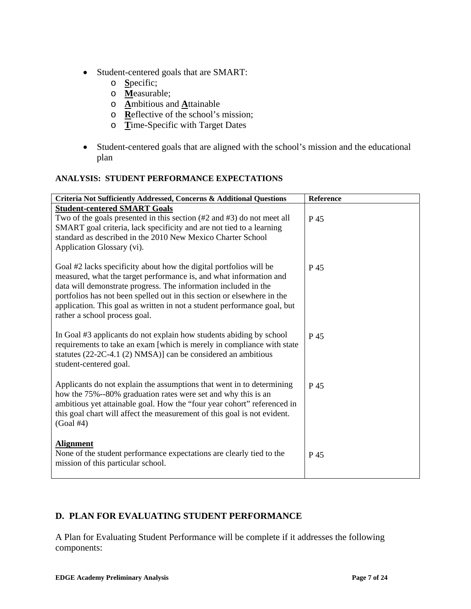- Student-centered goals that are SMART:
	- o **S**pecific;
	- o **M**easurable;
	- o **A**mbitious and **A**ttainable
	- $\overline{\mathbf{R}}$ eflective of the school's mission;
	- o **T**ime-Specific with Target Dates
- Student-centered goals that are aligned with the school's mission and the educational plan

# **ANALYSIS: STUDENT PERFORMANCE EXPECTATIONS**

| Criteria Not Sufficiently Addressed, Concerns & Additional Questions                                                                                                                                                                                                                                                                                                                                | Reference |
|-----------------------------------------------------------------------------------------------------------------------------------------------------------------------------------------------------------------------------------------------------------------------------------------------------------------------------------------------------------------------------------------------------|-----------|
| <b>Student-centered SMART Goals</b>                                                                                                                                                                                                                                                                                                                                                                 |           |
| Two of the goals presented in this section (#2 and #3) do not meet all<br>SMART goal criteria, lack specificity and are not tied to a learning<br>standard as described in the 2010 New Mexico Charter School<br>Application Glossary (vi).                                                                                                                                                         | P 45      |
| Goal #2 lacks specificity about how the digital portfolios will be<br>measured, what the target performance is, and what information and<br>data will demonstrate progress. The information included in the<br>portfolios has not been spelled out in this section or elsewhere in the<br>application. This goal as written in not a student performance goal, but<br>rather a school process goal. | P 45      |
| In Goal #3 applicants do not explain how students abiding by school<br>requirements to take an exam [which is merely in compliance with state<br>statutes $(22-2C-4.1 (2) NMSA)$ ] can be considered an ambitious<br>student-centered goal.                                                                                                                                                         | P 45      |
| Applicants do not explain the assumptions that went in to determining<br>how the 75%--80% graduation rates were set and why this is an<br>ambitious yet attainable goal. How the "four year cohort" referenced in<br>this goal chart will affect the measurement of this goal is not evident.<br>$(Goal \#4)$                                                                                       | P 45      |
| <b>Alignment</b><br>None of the student performance expectations are clearly tied to the<br>mission of this particular school.                                                                                                                                                                                                                                                                      | P 45      |

# **D. PLAN FOR EVALUATING STUDENT PERFORMANCE**

A Plan for Evaluating Student Performance will be complete if it addresses the following components: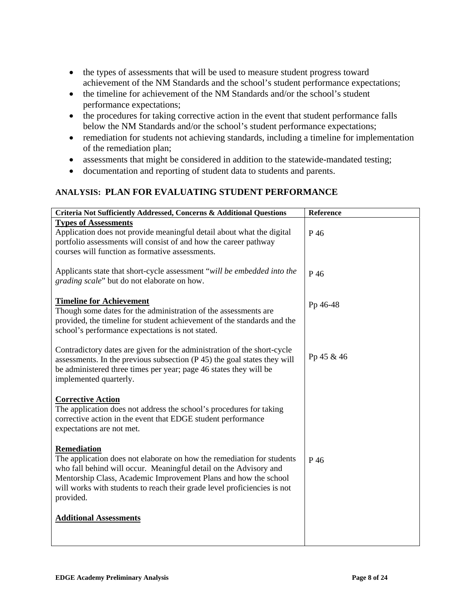- the types of assessments that will be used to measure student progress toward achievement of the NM Standards and the school's student performance expectations;
- the timeline for achievement of the NM Standards and/or the school's student performance expectations;
- the procedures for taking corrective action in the event that student performance falls below the NM Standards and/or the school's student performance expectations;
- remediation for students not achieving standards, including a timeline for implementation of the remediation plan;
- assessments that might be considered in addition to the statewide-mandated testing;
- documentation and reporting of student data to students and parents.

# **ANALYSIS: PLAN FOR EVALUATING STUDENT PERFORMANCE**

| Reference  |
|------------|
| P 46       |
| P 46       |
| Pp 46-48   |
| Pp 45 & 46 |
|            |
| P 46       |
|            |
|            |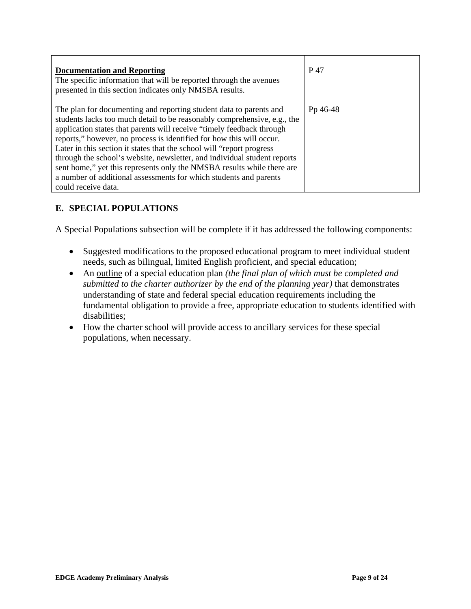| <b>Documentation and Reporting</b><br>The specific information that will be reported through the avenues<br>presented in this section indicates only NMSBA results.                                                                                                                                                                                                                                                                                                                                                                                                                                                         | P 47     |
|-----------------------------------------------------------------------------------------------------------------------------------------------------------------------------------------------------------------------------------------------------------------------------------------------------------------------------------------------------------------------------------------------------------------------------------------------------------------------------------------------------------------------------------------------------------------------------------------------------------------------------|----------|
| The plan for documenting and reporting student data to parents and<br>students lacks too much detail to be reasonably comprehensive, e.g., the<br>application states that parents will receive "timely feedback through<br>reports," however, no process is identified for how this will occur.<br>Later in this section it states that the school will "report progress"<br>through the school's website, newsletter, and individual student reports<br>sent home," yet this represents only the NMSBA results while there are<br>a number of additional assessments for which students and parents<br>could receive data. | Pp 46-48 |

# **E. SPECIAL POPULATIONS**

A Special Populations subsection will be complete if it has addressed the following components:

- Suggested modifications to the proposed educational program to meet individual student needs, such as bilingual, limited English proficient, and special education;
- An outline of a special education plan *(the final plan of which must be completed and submitted to the charter authorizer by the end of the planning year)* that demonstrates understanding of state and federal special education requirements including the fundamental obligation to provide a free, appropriate education to students identified with disabilities;
- How the charter school will provide access to ancillary services for these special populations, when necessary.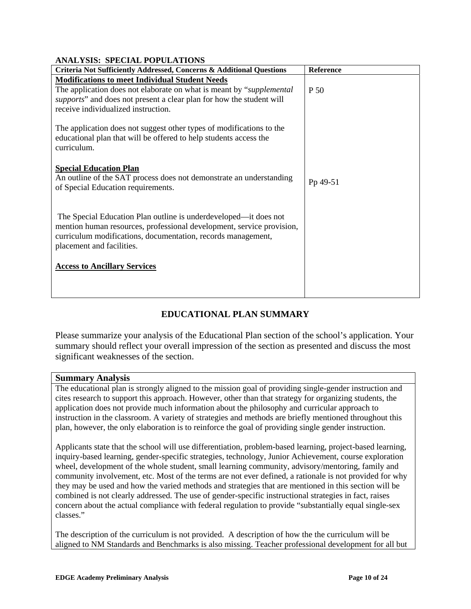| ANALISIS. SI ECIAL I OI ULATIONS                                                                                                                                                                                                       |           |
|----------------------------------------------------------------------------------------------------------------------------------------------------------------------------------------------------------------------------------------|-----------|
| Criteria Not Sufficiently Addressed, Concerns & Additional Questions                                                                                                                                                                   | Reference |
| <b>Modifications to meet Individual Student Needs</b>                                                                                                                                                                                  |           |
| The application does not elaborate on what is meant by "supplemental"<br>supports" and does not present a clear plan for how the student will<br>receive individualized instruction.                                                   | P 50      |
| The application does not suggest other types of modifications to the<br>educational plan that will be offered to help students access the<br>curriculum.                                                                               |           |
| <b>Special Education Plan</b><br>An outline of the SAT process does not demonstrate an understanding<br>of Special Education requirements.                                                                                             | Pp 49-51  |
| The Special Education Plan outline is underdeveloped—it does not<br>mention human resources, professional development, service provision,<br>curriculum modifications, documentation, records management,<br>placement and facilities. |           |
| <b>Access to Ancillary Services</b>                                                                                                                                                                                                    |           |
|                                                                                                                                                                                                                                        |           |

#### **ANALYSIS: SPECIAL POPULATIONS**

## **EDUCATIONAL PLAN SUMMARY**

Please summarize your analysis of the Educational Plan section of the school's application. Your summary should reflect your overall impression of the section as presented and discuss the most significant weaknesses of the section.

#### **Summary Analysis**

The educational plan is strongly aligned to the mission goal of providing single-gender instruction and cites research to support this approach. However, other than that strategy for organizing students, the application does not provide much information about the philosophy and curricular approach to instruction in the classroom. A variety of strategies and methods are briefly mentioned throughout this plan, however, the only elaboration is to reinforce the goal of providing single gender instruction.

Applicants state that the school will use differentiation, problem-based learning, project-based learning, inquiry-based learning, gender-specific strategies, technology, Junior Achievement, course exploration wheel, development of the whole student, small learning community, advisory/mentoring, family and community involvement, etc. Most of the terms are not ever defined, a rationale is not provided for why they may be used and how the varied methods and strategies that are mentioned in this section will be combined is not clearly addressed. The use of gender-specific instructional strategies in fact, raises concern about the actual compliance with federal regulation to provide "substantially equal single-sex classes."

The description of the curriculum is not provided. A description of how the the curriculum will be aligned to NM Standards and Benchmarks is also missing. Teacher professional development for all but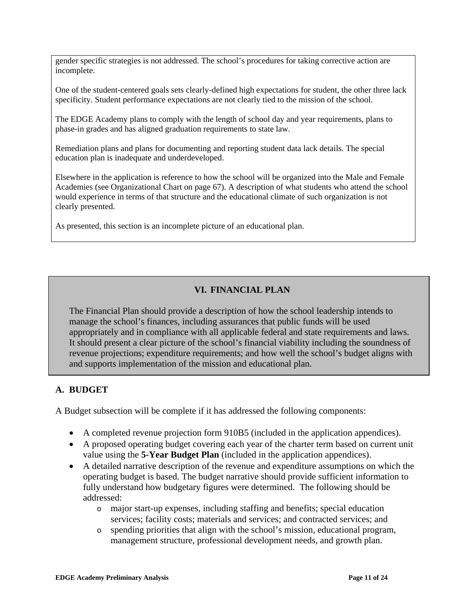gender specific strategies is not addressed. The school's procedures for taking corrective action are incomplete.

One of the student-centered goals sets clearly-defined high expectations for student, the other three lack specificity. Student performance expectations are not clearly tied to the mission of the school.

The EDGE Academy plans to comply with the length of school day and year requirements, plans to phase-in grades and has aligned graduation requirements to state law.

Remediation plans and plans for documenting and reporting student data lack details. The special education plan is inadequate and underdeveloped.

Elsewhere in the application is reference to how the school will be organized into the Male and Female Academies (see Organizational Chart on page 67). A description of what students who attend the school would experience in terms of that structure and the educational climate of such organization is not clearly presented.

As presented, this section is an incomplete picture of an educational plan.

# **VI. FINANCIAL PLAN**

The Financial Plan should provide a description of how the school leadership intends to manage the school's finances, including assurances that public funds will be used appropriately and in compliance with all applicable federal and state requirements and laws. It should present a clear picture of the school's financial viability including the soundness of revenue projections; expenditure requirements; and how well the school's budget aligns with and supports implementation of the mission and educational plan.

## **A. BUDGET**

A Budget subsection will be complete if it has addressed the following components:

- A completed revenue projection form 910B5 (included in the application appendices).
- A proposed operating budget covering each year of the charter term based on current unit value using the **5-Year Budget Plan** (included in the application appendices).
- A detailed narrative description of the revenue and expenditure assumptions on which the operating budget is based. The budget narrative should provide sufficient information to fully understand how budgetary figures were determined. The following should be addressed:
	- o major start-up expenses, including staffing and benefits; special education services; facility costs; materials and services; and contracted services; and
	- o spending priorities that align with the school's mission, educational program, management structure, professional development needs, and growth plan.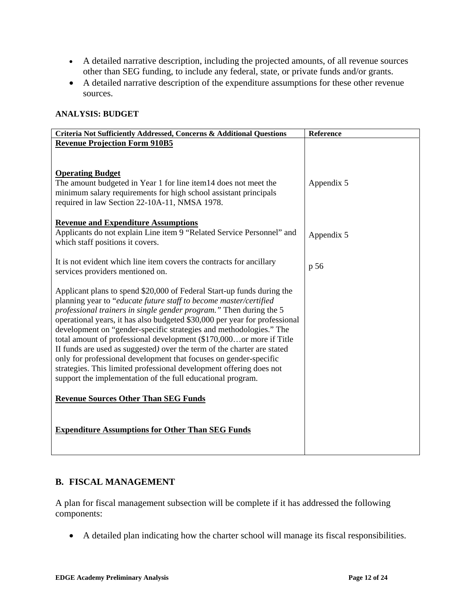- A detailed narrative description, including the projected amounts, of all revenue sources other than SEG funding, to include any federal, state, or private funds and/or grants.
- A detailed narrative description of the expenditure assumptions for these other revenue sources.

#### **ANALYSIS: BUDGET**

| Criteria Not Sufficiently Addressed, Concerns & Additional Questions                                                                                                                                                                                                                                                                                                                                                                                                                                                                                                                                                                                                                                                               | Reference  |
|------------------------------------------------------------------------------------------------------------------------------------------------------------------------------------------------------------------------------------------------------------------------------------------------------------------------------------------------------------------------------------------------------------------------------------------------------------------------------------------------------------------------------------------------------------------------------------------------------------------------------------------------------------------------------------------------------------------------------------|------------|
| <b>Revenue Projection Form 910B5</b>                                                                                                                                                                                                                                                                                                                                                                                                                                                                                                                                                                                                                                                                                               |            |
|                                                                                                                                                                                                                                                                                                                                                                                                                                                                                                                                                                                                                                                                                                                                    |            |
|                                                                                                                                                                                                                                                                                                                                                                                                                                                                                                                                                                                                                                                                                                                                    |            |
| <b>Operating Budget</b><br>The amount budgeted in Year 1 for line item14 does not meet the<br>minimum salary requirements for high school assistant principals<br>required in law Section 22-10A-11, NMSA 1978.                                                                                                                                                                                                                                                                                                                                                                                                                                                                                                                    | Appendix 5 |
| <b>Revenue and Expenditure Assumptions</b><br>Applicants do not explain Line item 9 "Related Service Personnel" and<br>which staff positions it covers.                                                                                                                                                                                                                                                                                                                                                                                                                                                                                                                                                                            | Appendix 5 |
| It is not evident which line item covers the contracts for ancillary<br>services providers mentioned on.                                                                                                                                                                                                                                                                                                                                                                                                                                                                                                                                                                                                                           | p 56       |
| Applicant plans to spend \$20,000 of Federal Start-up funds during the<br>planning year to "educate future staff to become master/certified<br>professional trainers in single gender program." Then during the 5<br>operational years, it has also budgeted \$30,000 per year for professional<br>development on "gender-specific strategies and methodologies." The<br>total amount of professional development (\$170,000or more if Title<br>II funds are used as suggested) over the term of the charter are stated<br>only for professional development that focuses on gender-specific<br>strategies. This limited professional development offering does not<br>support the implementation of the full educational program. |            |
| <b>Revenue Sources Other Than SEG Funds</b>                                                                                                                                                                                                                                                                                                                                                                                                                                                                                                                                                                                                                                                                                        |            |
| <b>Expenditure Assumptions for Other Than SEG Funds</b>                                                                                                                                                                                                                                                                                                                                                                                                                                                                                                                                                                                                                                                                            |            |

## **B. FISCAL MANAGEMENT**

A plan for fiscal management subsection will be complete if it has addressed the following components:

• A detailed plan indicating how the charter school will manage its fiscal responsibilities.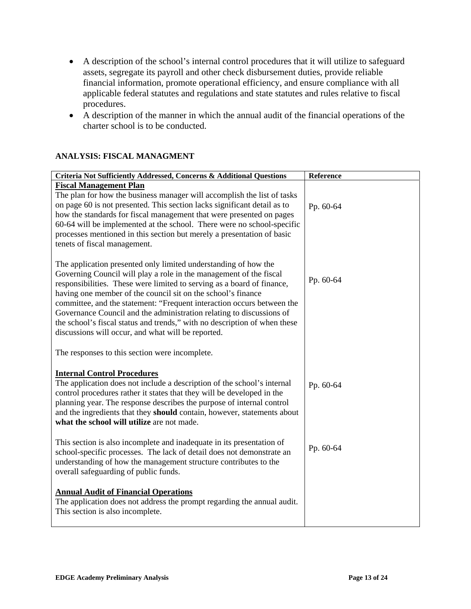- A description of the school's internal control procedures that it will utilize to safeguard assets, segregate its payroll and other check disbursement duties, provide reliable financial information, promote operational efficiency, and ensure compliance with all applicable federal statutes and regulations and state statutes and rules relative to fiscal procedures.
- A description of the manner in which the annual audit of the financial operations of the charter school is to be conducted.

#### **ANALYSIS: FISCAL MANAGMENT**

| Criteria Not Sufficiently Addressed, Concerns & Additional Questions                                                                                                                                                                                                                                                                                                                                                                                                                                                                                                 | Reference |
|----------------------------------------------------------------------------------------------------------------------------------------------------------------------------------------------------------------------------------------------------------------------------------------------------------------------------------------------------------------------------------------------------------------------------------------------------------------------------------------------------------------------------------------------------------------------|-----------|
| <b>Fiscal Management Plan</b><br>The plan for how the business manager will accomplish the list of tasks<br>on page 60 is not presented. This section lacks significant detail as to<br>how the standards for fiscal management that were presented on pages<br>60-64 will be implemented at the school. There were no school-specific<br>processes mentioned in this section but merely a presentation of basic<br>tenets of fiscal management.                                                                                                                     | Pp. 60-64 |
| The application presented only limited understanding of how the<br>Governing Council will play a role in the management of the fiscal<br>responsibilities. These were limited to serving as a board of finance,<br>having one member of the council sit on the school's finance<br>committee, and the statement: "Frequent interaction occurs between the<br>Governance Council and the administration relating to discussions of<br>the school's fiscal status and trends," with no description of when these<br>discussions will occur, and what will be reported. | Pp. 60-64 |
| The responses to this section were incomplete.                                                                                                                                                                                                                                                                                                                                                                                                                                                                                                                       |           |
| <b>Internal Control Procedures</b><br>The application does not include a description of the school's internal<br>control procedures rather it states that they will be developed in the<br>planning year. The response describes the purpose of internal control<br>and the ingredients that they should contain, however, statements about<br>what the school will utilize are not made.                                                                                                                                                                            | Pp. 60-64 |
| This section is also incomplete and inadequate in its presentation of<br>school-specific processes. The lack of detail does not demonstrate an<br>understanding of how the management structure contributes to the<br>overall safeguarding of public funds.                                                                                                                                                                                                                                                                                                          | Pp. 60-64 |
| <b>Annual Audit of Financial Operations</b><br>The application does not address the prompt regarding the annual audit.<br>This section is also incomplete.                                                                                                                                                                                                                                                                                                                                                                                                           |           |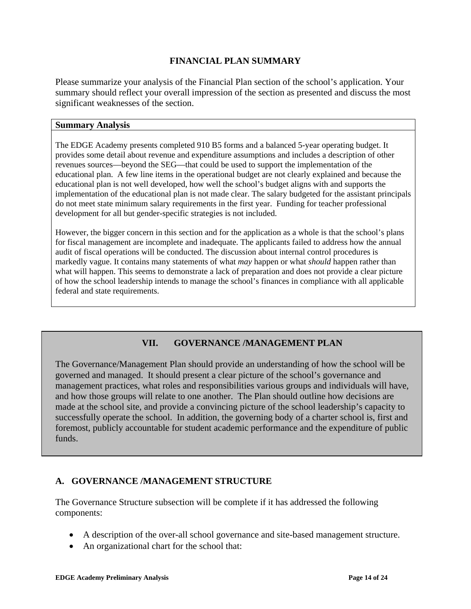## **FINANCIAL PLAN SUMMARY**

Please summarize your analysis of the Financial Plan section of the school's application. Your summary should reflect your overall impression of the section as presented and discuss the most significant weaknesses of the section.

#### **Summary Analysis**

The EDGE Academy presents completed 910 B5 forms and a balanced 5-year operating budget. It provides some detail about revenue and expenditure assumptions and includes a description of other revenues sources—beyond the SEG—that could be used to support the implementation of the educational plan. A few line items in the operational budget are not clearly explained and because the educational plan is not well developed, how well the school's budget aligns with and supports the implementation of the educational plan is not made clear. The salary budgeted for the assistant principals do not meet state minimum salary requirements in the first year. Funding for teacher professional development for all but gender-specific strategies is not included.

However, the bigger concern in this section and for the application as a whole is that the school's plans for fiscal management are incomplete and inadequate. The applicants failed to address how the annual audit of fiscal operations will be conducted. The discussion about internal control procedures is markedly vague. It contains many statements of what *may* happen or what *should* happen rather than what will happen. This seems to demonstrate a lack of preparation and does not provide a clear picture of how the school leadership intends to manage the school's finances in compliance with all applicable federal and state requirements.

## **VII. GOVERNANCE /MANAGEMENT PLAN**

The Governance/Management Plan should provide an understanding of how the school will be governed and managed. It should present a clear picture of the school's governance and management practices, what roles and responsibilities various groups and individuals will have, and how those groups will relate to one another. The Plan should outline how decisions are made at the school site, and provide a convincing picture of the school leadership's capacity to successfully operate the school. In addition, the governing body of a charter school is, first and foremost, publicly accountable for student academic performance and the expenditure of public funds.

#### **A. GOVERNANCE /MANAGEMENT STRUCTURE**

The Governance Structure subsection will be complete if it has addressed the following components:

- A description of the over-all school governance and site-based management structure.
- An organizational chart for the school that: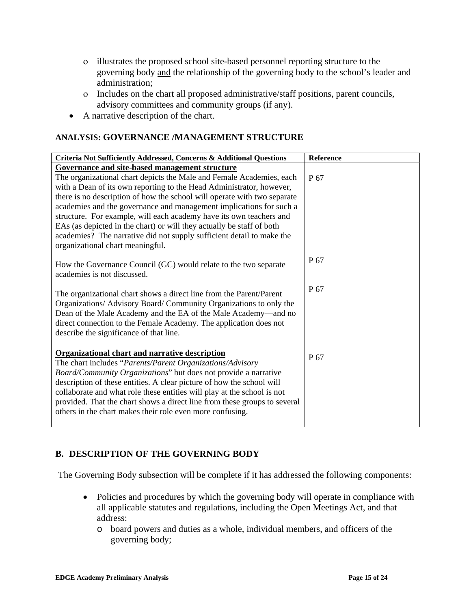- ο illustrates the proposed school site-based personnel reporting structure to the governing body and the relationship of the governing body to the school's leader and administration;
- ο Includes on the chart all proposed administrative/staff positions, parent councils, advisory committees and community groups (if any).
- A narrative description of the chart.

#### **ANALYSIS: GOVERNANCE /MANAGEMENT STRUCTURE**

| Criteria Not Sufficiently Addressed, Concerns & Additional Questions                                                                                                                                                                                                                                                        | <b>Reference</b> |
|-----------------------------------------------------------------------------------------------------------------------------------------------------------------------------------------------------------------------------------------------------------------------------------------------------------------------------|------------------|
| Governance and site-based management structure                                                                                                                                                                                                                                                                              |                  |
| The organizational chart depicts the Male and Female Academies, each                                                                                                                                                                                                                                                        | P 67             |
| with a Dean of its own reporting to the Head Administrator, however,                                                                                                                                                                                                                                                        |                  |
| there is no description of how the school will operate with two separate                                                                                                                                                                                                                                                    |                  |
| academies and the governance and management implications for such a                                                                                                                                                                                                                                                         |                  |
| structure. For example, will each academy have its own teachers and<br>EAs (as depicted in the chart) or will they actually be staff of both                                                                                                                                                                                |                  |
| academies? The narrative did not supply sufficient detail to make the                                                                                                                                                                                                                                                       |                  |
| organizational chart meaningful.                                                                                                                                                                                                                                                                                            |                  |
|                                                                                                                                                                                                                                                                                                                             | P 67             |
| How the Governance Council (GC) would relate to the two separate                                                                                                                                                                                                                                                            |                  |
| academies is not discussed.                                                                                                                                                                                                                                                                                                 |                  |
| The organizational chart shows a direct line from the Parent/Parent<br>Organizations/ Advisory Board/ Community Organizations to only the<br>Dean of the Male Academy and the EA of the Male Academy—and no<br>direct connection to the Female Academy. The application does not<br>describe the significance of that line. | P 67             |
| <b>Organizational chart and narrative description</b>                                                                                                                                                                                                                                                                       |                  |
| The chart includes "Parents/Parent Organizations/Advisory                                                                                                                                                                                                                                                                   | P 67             |
| Board/Community Organizations" but does not provide a narrative                                                                                                                                                                                                                                                             |                  |
| description of these entities. A clear picture of how the school will                                                                                                                                                                                                                                                       |                  |
| collaborate and what role these entities will play at the school is not<br>provided. That the chart shows a direct line from these groups to several                                                                                                                                                                        |                  |
| others in the chart makes their role even more confusing.                                                                                                                                                                                                                                                                   |                  |
|                                                                                                                                                                                                                                                                                                                             |                  |

## **B. DESCRIPTION OF THE GOVERNING BODY**

The Governing Body subsection will be complete if it has addressed the following components:

- Policies and procedures by which the governing body will operate in compliance with all applicable statutes and regulations, including the Open Meetings Act, and that address:
	- o board powers and duties as a whole, individual members, and officers of the governing body;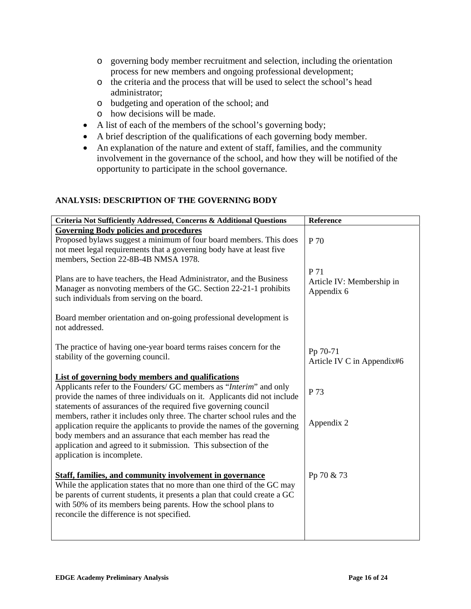- o governing body member recruitment and selection, including the orientation process for new members and ongoing professional development;
- o the criteria and the process that will be used to select the school's head administrator;
- o budgeting and operation of the school; and
- o how decisions will be made.
- A list of each of the members of the school's governing body;
- A brief description of the qualifications of each governing body member.
- An explanation of the nature and extent of staff, families, and the community involvement in the governance of the school, and how they will be notified of the opportunity to participate in the school governance.

#### **ANALYSIS: DESCRIPTION OF THE GOVERNING BODY**

| Criteria Not Sufficiently Addressed, Concerns & Additional Questions                                                           | Reference                  |
|--------------------------------------------------------------------------------------------------------------------------------|----------------------------|
| <b>Governing Body policies and procedures</b>                                                                                  |                            |
| Proposed bylaws suggest a minimum of four board members. This does                                                             | P 70                       |
| not meet legal requirements that a governing body have at least five                                                           |                            |
| members, Section 22-8B-4B NMSA 1978.                                                                                           |                            |
|                                                                                                                                | P 71                       |
| Plans are to have teachers, the Head Administrator, and the Business                                                           | Article IV: Membership in  |
| Manager as nonvoting members of the GC. Section 22-21-1 prohibits                                                              | Appendix 6                 |
| such individuals from serving on the board.                                                                                    |                            |
| Board member orientation and on-going professional development is                                                              |                            |
| not addressed.                                                                                                                 |                            |
|                                                                                                                                |                            |
| The practice of having one-year board terms raises concern for the                                                             |                            |
| stability of the governing council.                                                                                            | Pp 70-71                   |
|                                                                                                                                | Article IV C in Appendix#6 |
| List of governing body members and qualifications                                                                              |                            |
| Applicants refer to the Founders/ GC members as "Interim" and only                                                             | P 73                       |
| provide the names of three individuals on it. Applicants did not include                                                       |                            |
| statements of assurances of the required five governing council                                                                |                            |
| members, rather it includes only three. The charter school rules and the                                                       | Appendix 2                 |
| application require the applicants to provide the names of the governing                                                       |                            |
| body members and an assurance that each member has read the<br>application and agreed to it submission. This subsection of the |                            |
| application is incomplete.                                                                                                     |                            |
|                                                                                                                                |                            |
| <b>Staff, families, and community involvement in governance</b>                                                                | Pp 70 & 73                 |
| While the application states that no more than one third of the GC may                                                         |                            |
| be parents of current students, it presents a plan that could create a GC                                                      |                            |
| with 50% of its members being parents. How the school plans to                                                                 |                            |
| reconcile the difference is not specified.                                                                                     |                            |
|                                                                                                                                |                            |
|                                                                                                                                |                            |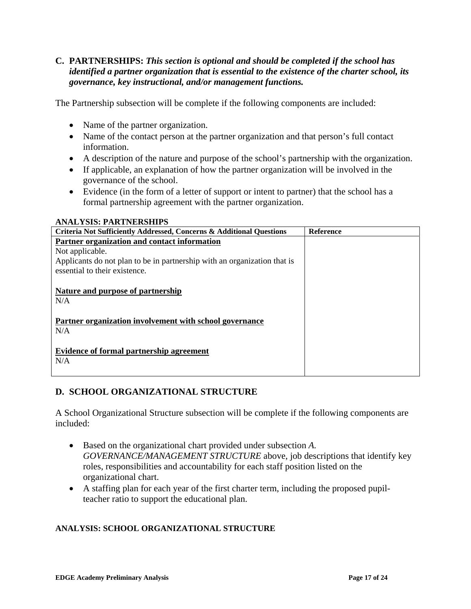#### **C. PARTNERSHIPS:** *This section is optional and should be completed if the school has identified a partner organization that is essential to the existence of the charter school, its governance, key instructional, and/or management functions.*

The Partnership subsection will be complete if the following components are included:

• Name of the partner organization.

**ANALYSIS: PARTNERSHIPS** 

- Name of the contact person at the partner organization and that person's full contact information.
- A description of the nature and purpose of the school's partnership with the organization.
- If applicable, an explanation of how the partner organization will be involved in the governance of the school.
- Evidence (in the form of a letter of support or intent to partner) that the school has a formal partnership agreement with the partner organization.

| ANAL I SIS: FAR I NERSHIFS                                               |                  |
|--------------------------------------------------------------------------|------------------|
| Criteria Not Sufficiently Addressed, Concerns & Additional Questions     | <b>Reference</b> |
| Partner organization and contact information                             |                  |
| Not applicable.                                                          |                  |
| Applicants do not plan to be in partnership with an organization that is |                  |
| essential to their existence.                                            |                  |
|                                                                          |                  |
| <b>Nature and purpose of partnership</b>                                 |                  |
| N/A                                                                      |                  |
|                                                                          |                  |
| Partner organization involvement with school governance                  |                  |
| N/A                                                                      |                  |
|                                                                          |                  |
| Evidence of formal partnership agreement                                 |                  |
| N/A                                                                      |                  |
|                                                                          |                  |
|                                                                          |                  |

# **D. SCHOOL ORGANIZATIONAL STRUCTURE**

A School Organizational Structure subsection will be complete if the following components are included:

- Based on the organizational chart provided under subsection *A. GOVERNANCE/MANAGEMENT STRUCTURE* above, job descriptions that identify key roles, responsibilities and accountability for each staff position listed on the organizational chart.
- A staffing plan for each year of the first charter term, including the proposed pupilteacher ratio to support the educational plan.

## **ANALYSIS: SCHOOL ORGANIZATIONAL STRUCTURE**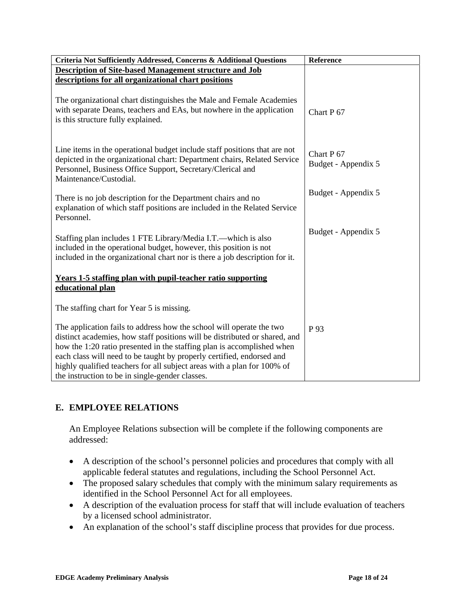| Criteria Not Sufficiently Addressed, Concerns & Additional Questions                                                                                                                                                                                                                                                                                                                                                                | Reference                                    |
|-------------------------------------------------------------------------------------------------------------------------------------------------------------------------------------------------------------------------------------------------------------------------------------------------------------------------------------------------------------------------------------------------------------------------------------|----------------------------------------------|
| <b>Description of Site-based Management structure and Job</b>                                                                                                                                                                                                                                                                                                                                                                       |                                              |
| descriptions for all organizational chart positions                                                                                                                                                                                                                                                                                                                                                                                 |                                              |
| The organizational chart distinguishes the Male and Female Academies<br>with separate Deans, teachers and EAs, but nowhere in the application<br>is this structure fully explained.                                                                                                                                                                                                                                                 | Chart P <sub>67</sub>                        |
| Line items in the operational budget include staff positions that are not<br>depicted in the organizational chart: Department chairs, Related Service<br>Personnel, Business Office Support, Secretary/Clerical and<br>Maintenance/Custodial.                                                                                                                                                                                       | Chart P <sub>67</sub><br>Budget - Appendix 5 |
| There is no job description for the Department chairs and no<br>explanation of which staff positions are included in the Related Service<br>Personnel.                                                                                                                                                                                                                                                                              | Budget - Appendix 5                          |
| Staffing plan includes 1 FTE Library/Media I.T.—which is also<br>included in the operational budget, however, this position is not<br>included in the organizational chart nor is there a job description for it.                                                                                                                                                                                                                   | Budget - Appendix 5                          |
| <b>Years 1-5 staffing plan with pupil-teacher ratio supporting</b><br>educational plan                                                                                                                                                                                                                                                                                                                                              |                                              |
| The staffing chart for Year 5 is missing.                                                                                                                                                                                                                                                                                                                                                                                           |                                              |
| The application fails to address how the school will operate the two<br>distinct academies, how staff positions will be distributed or shared, and<br>how the 1:20 ratio presented in the staffing plan is accomplished when<br>each class will need to be taught by properly certified, endorsed and<br>highly qualified teachers for all subject areas with a plan for 100% of<br>the instruction to be in single-gender classes. | P 93                                         |

# **E. EMPLOYEE RELATIONS**

An Employee Relations subsection will be complete if the following components are addressed:

- A description of the school's personnel policies and procedures that comply with all applicable federal statutes and regulations, including the School Personnel Act.
- The proposed salary schedules that comply with the minimum salary requirements as identified in the School Personnel Act for all employees.
- A description of the evaluation process for staff that will include evaluation of teachers by a licensed school administrator.
- An explanation of the school's staff discipline process that provides for due process.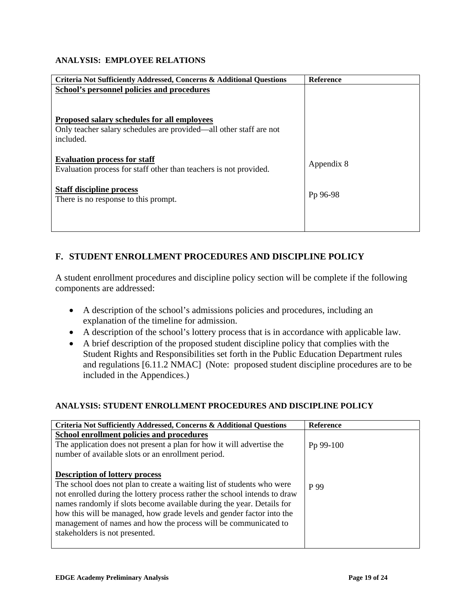#### **ANALYSIS: EMPLOYEE RELATIONS**

| <b>Criteria Not Sufficiently Addressed, Concerns &amp; Additional Questions</b> | <b>Reference</b> |
|---------------------------------------------------------------------------------|------------------|
| School's personnel policies and procedures                                      |                  |
|                                                                                 |                  |
|                                                                                 |                  |
| Proposed salary schedules for all employees                                     |                  |
| Only teacher salary schedules are provided—all other staff are not              |                  |
| included.                                                                       |                  |
|                                                                                 |                  |
| <b>Evaluation process for staff</b>                                             | Appendix 8       |
| Evaluation process for staff other than teachers is not provided.               |                  |
|                                                                                 |                  |
| <b>Staff discipline process</b>                                                 | Pp 96-98         |
| There is no response to this prompt.                                            |                  |
|                                                                                 |                  |
|                                                                                 |                  |
|                                                                                 |                  |

# **F. STUDENT ENROLLMENT PROCEDURES AND DISCIPLINE POLICY**

A student enrollment procedures and discipline policy section will be complete if the following components are addressed:

- A description of the school's admissions policies and procedures, including an explanation of the timeline for admission.
- A description of the school's lottery process that is in accordance with applicable law.
- A brief description of the proposed student discipline policy that complies with the Student Rights and Responsibilities set forth in the Public Education Department rules and regulations [6.11.2 NMAC] (Note: proposed student discipline procedures are to be included in the Appendices.)

#### **ANALYSIS: STUDENT ENROLLMENT PROCEDURES AND DISCIPLINE POLICY**

| Criteria Not Sufficiently Addressed, Concerns & Additional Questions      | <b>Reference</b> |
|---------------------------------------------------------------------------|------------------|
| School enrollment policies and procedures                                 |                  |
| The application does not present a plan for how it will advertise the     | Pp 99-100        |
| number of available slots or an enrollment period.                        |                  |
|                                                                           |                  |
| <b>Description of lottery process</b>                                     |                  |
| The school does not plan to create a waiting list of students who were    | P 99             |
| not enrolled during the lottery process rather the school intends to draw |                  |
| names randomly if slots become available during the year. Details for     |                  |
| how this will be managed, how grade levels and gender factor into the     |                  |
| management of names and how the process will be communicated to           |                  |
| stakeholders is not presented.                                            |                  |
|                                                                           |                  |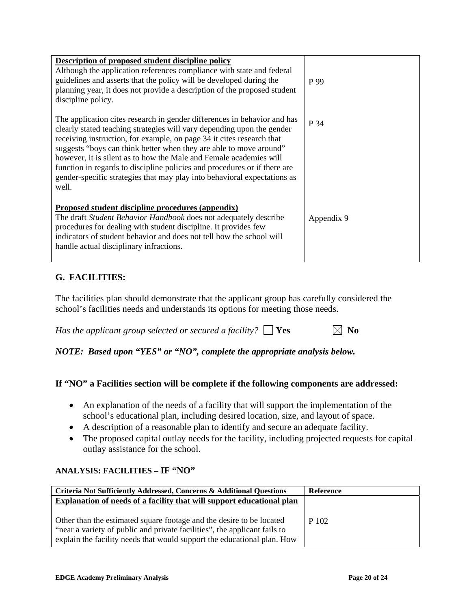| Description of proposed student discipline policy<br>Although the application references compliance with state and federal<br>guidelines and asserts that the policy will be developed during the<br>planning year, it does not provide a description of the proposed student<br>discipline policy.                                                                                                                                                                                                                                       | P 99       |
|-------------------------------------------------------------------------------------------------------------------------------------------------------------------------------------------------------------------------------------------------------------------------------------------------------------------------------------------------------------------------------------------------------------------------------------------------------------------------------------------------------------------------------------------|------------|
| The application cites research in gender differences in behavior and has<br>clearly stated teaching strategies will vary depending upon the gender<br>receiving instruction, for example, on page 34 it cites research that<br>suggests "boys can think better when they are able to move around"<br>however, it is silent as to how the Male and Female academies will<br>function in regards to discipline policies and procedures or if there are<br>gender-specific strategies that may play into behavioral expectations as<br>well. | P 34       |
| Proposed student discipline procedures (appendix)<br>The draft Student Behavior Handbook does not adequately describe<br>procedures for dealing with student discipline. It provides few<br>indicators of student behavior and does not tell how the school will<br>handle actual disciplinary infractions.                                                                                                                                                                                                                               | Appendix 9 |

# **G. FACILITIES:**

The facilities plan should demonstrate that the applicant group has carefully considered the school's facilities needs and understands its options for meeting those needs.

*Has the applicant group selected or secured a facility?*  $\Box$  **Yes**  $\Box$  **No** 

*NOTE: Based upon "YES" or "NO", complete the appropriate analysis below.* 

#### **If "NO" a Facilities section will be complete if the following components are addressed:**

- An explanation of the needs of a facility that will support the implementation of the school's educational plan, including desired location, size, and layout of space.
- A description of a reasonable plan to identify and secure an adequate facility.
- The proposed capital outlay needs for the facility, including projected requests for capital outlay assistance for the school.

#### **ANALYSIS: FACILITIES – IF "NO"**

| Criteria Not Sufficiently Addressed, Concerns & Additional Questions                                                                                                                                                         | Reference |
|------------------------------------------------------------------------------------------------------------------------------------------------------------------------------------------------------------------------------|-----------|
| Explanation of needs of a facility that will support educational plan                                                                                                                                                        |           |
| Other than the estimated square footage and the desire to be located<br>"near a variety of public and private facilities", the applicant fails to<br>explain the facility needs that would support the educational plan. How | P 102     |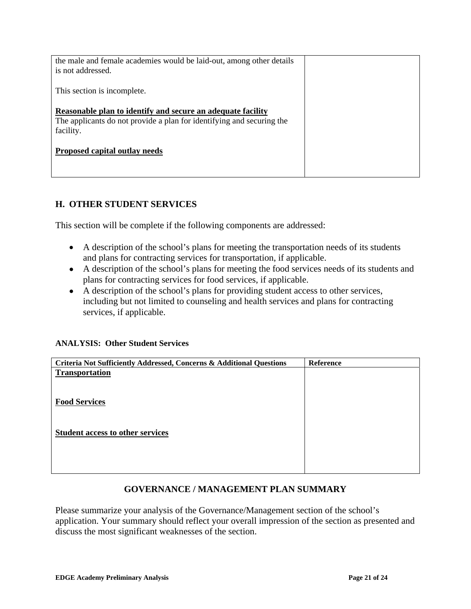| the male and female academies would be laid-out, among other details<br>is not addressed.                                                         |  |
|---------------------------------------------------------------------------------------------------------------------------------------------------|--|
| This section is incomplete.                                                                                                                       |  |
| Reasonable plan to identify and secure an adequate facility<br>The applicants do not provide a plan for identifying and securing the<br>facility. |  |
| Proposed capital outlay needs                                                                                                                     |  |
|                                                                                                                                                   |  |

# **H. OTHER STUDENT SERVICES**

This section will be complete if the following components are addressed:

- A description of the school's plans for meeting the transportation needs of its students and plans for contracting services for transportation, if applicable.
- A description of the school's plans for meeting the food services needs of its students and plans for contracting services for food services, if applicable.
- A description of the school's plans for providing student access to other services, including but not limited to counseling and health services and plans for contracting services, if applicable.

#### **ANALYSIS: Other Student Services**

| Criteria Not Sufficiently Addressed, Concerns & Additional Questions | Reference |
|----------------------------------------------------------------------|-----------|
| <b>Transportation</b>                                                |           |
|                                                                      |           |
|                                                                      |           |
| <b>Food Services</b>                                                 |           |
|                                                                      |           |
|                                                                      |           |
| <b>Student access to other services</b>                              |           |
|                                                                      |           |
|                                                                      |           |
|                                                                      |           |
|                                                                      |           |

## **GOVERNANCE / MANAGEMENT PLAN SUMMARY**

Please summarize your analysis of the Governance/Management section of the school's application. Your summary should reflect your overall impression of the section as presented and discuss the most significant weaknesses of the section.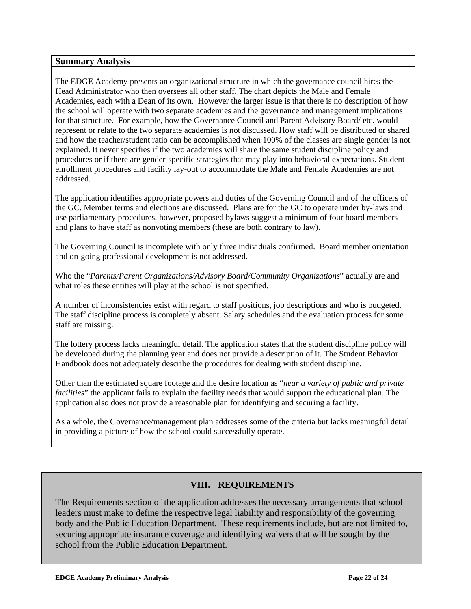#### **Summary Analysis**

The EDGE Academy presents an organizational structure in which the governance council hires the Head Administrator who then oversees all other staff. The chart depicts the Male and Female Academies, each with a Dean of its own. However the larger issue is that there is no description of how the school will operate with two separate academies and the governance and management implications for that structure. For example, how the Governance Council and Parent Advisory Board/ etc. would represent or relate to the two separate academies is not discussed. How staff will be distributed or shared and how the teacher/student ratio can be accomplished when 100% of the classes are single gender is not explained. It never specifies if the two academies will share the same student discipline policy and procedures or if there are gender-specific strategies that may play into behavioral expectations. Student enrollment procedures and facility lay-out to accommodate the Male and Female Academies are not addressed.

The application identifies appropriate powers and duties of the Governing Council and of the officers of the GC. Member terms and elections are discussed. Plans are for the GC to operate under by-laws and use parliamentary procedures, however, proposed bylaws suggest a minimum of four board members and plans to have staff as nonvoting members (these are both contrary to law).

The Governing Council is incomplete with only three individuals confirmed. Board member orientation and on-going professional development is not addressed.

Who the "*Parents/Parent Organizations/Advisory Board/Community Organizations*" actually are and what roles these entities will play at the school is not specified.

A number of inconsistencies exist with regard to staff positions, job descriptions and who is budgeted. The staff discipline process is completely absent. Salary schedules and the evaluation process for some staff are missing.

The lottery process lacks meaningful detail. The application states that the student discipline policy will be developed during the planning year and does not provide a description of it. The Student Behavior Handbook does not adequately describe the procedures for dealing with student discipline.

Other than the estimated square footage and the desire location as "*near a variety of public and private facilities*" the applicant fails to explain the facility needs that would support the educational plan. The application also does not provide a reasonable plan for identifying and securing a facility.

As a whole, the Governance/management plan addresses some of the criteria but lacks meaningful detail in providing a picture of how the school could successfully operate.

## **VIII. REQUIREMENTS**

The Requirements section of the application addresses the necessary arrangements that school leaders must make to define the respective legal liability and responsibility of the governing body and the Public Education Department. These requirements include, but are not limited to, securing appropriate insurance coverage and identifying waivers that will be sought by the school from the Public Education Department.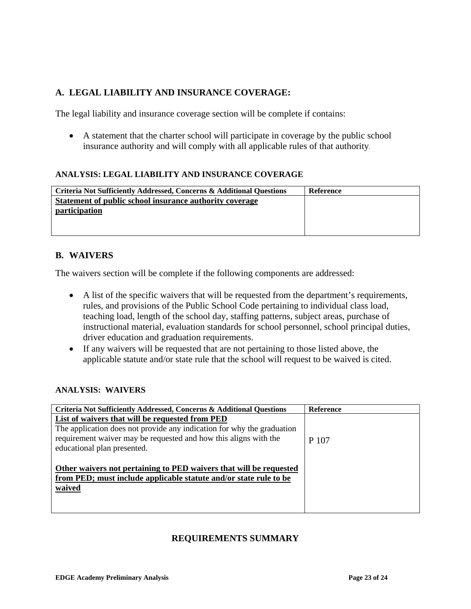# **A. LEGAL LIABILITY AND INSURANCE COVERAGE:**

The legal liability and insurance coverage section will be complete if contains:

• A statement that the charter school will participate in coverage by the public school insurance authority and will comply with all applicable rules of that authority.

#### **ANALYSIS: LEGAL LIABILITY AND INSURANCE COVERAGE**

| Criteria Not Sufficiently Addressed, Concerns & Additional Questions | <b>Reference</b> |
|----------------------------------------------------------------------|------------------|
| Statement of public school insurance authority coverage              |                  |
| participation                                                        |                  |
|                                                                      |                  |
|                                                                      |                  |

#### **B. WAIVERS**

The waivers section will be complete if the following components are addressed:

- A list of the specific waivers that will be requested from the department's requirements, rules, and provisions of the Public School Code pertaining to individual class load, teaching load, length of the school day, staffing patterns, subject areas, purchase of instructional material, evaluation standards for school personnel, school principal duties, driver education and graduation requirements.
- If any waivers will be requested that are not pertaining to those listed above, the applicable statute and/or state rule that the school will request to be waived is cited.

#### **ANALYSIS: WAIVERS**

| Criteria Not Sufficiently Addressed, Concerns & Additional Questions   | <b>Reference</b> |
|------------------------------------------------------------------------|------------------|
| List of waivers that will be requested from PED                        |                  |
| The application does not provide any indication for why the graduation |                  |
| requirement waiver may be requested and how this aligns with the       | P 107            |
| educational plan presented.                                            |                  |
|                                                                        |                  |
| Other waivers not pertaining to PED waivers that will be requested     |                  |
| from PED; must include applicable statute and/or state rule to be      |                  |
| waived                                                                 |                  |
|                                                                        |                  |
|                                                                        |                  |

#### **REQUIREMENTS SUMMARY**